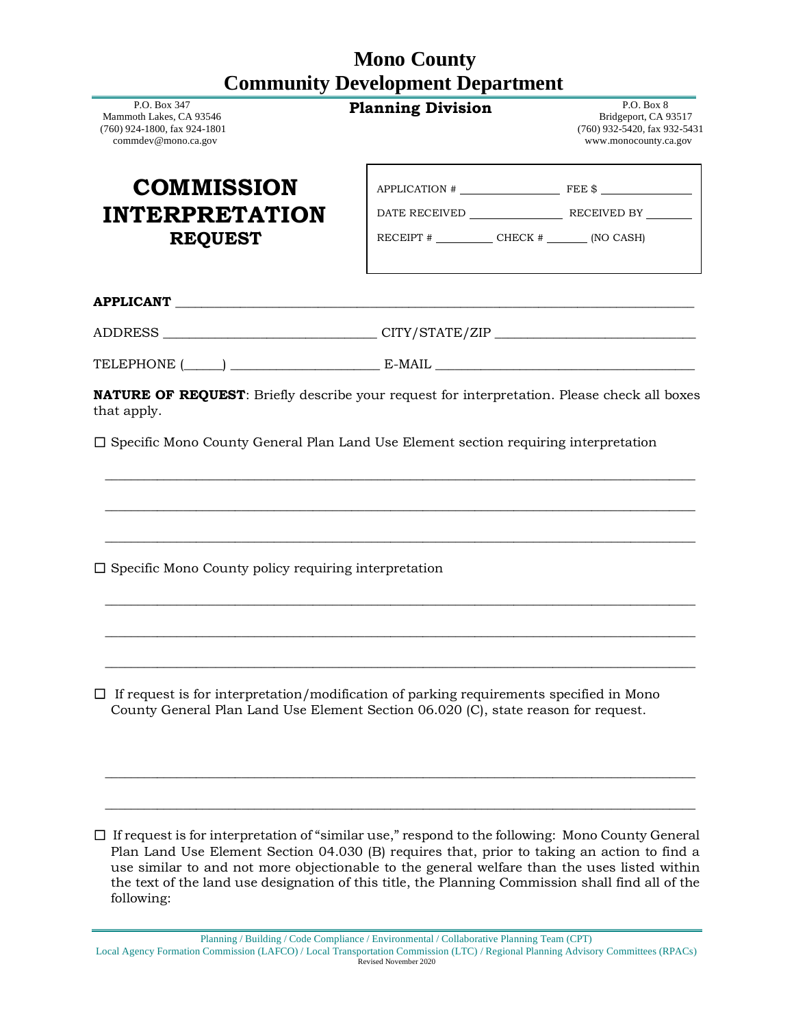## **Mono County Community Development Department**

| P.O. Box 347<br>Mammoth Lakes, CA 93546<br>(760) 924-1800, fax 924-1801<br>commdev@mono.ca.gov                                                                                       | <b>Planning Division</b>                                                         | P.O. Box 8<br>Bridgeport, CA 93517<br>(760) 932-5420, fax 932-5431<br>www.monocounty.ca.gov |
|--------------------------------------------------------------------------------------------------------------------------------------------------------------------------------------|----------------------------------------------------------------------------------|---------------------------------------------------------------------------------------------|
| <b>COMMISSION</b>                                                                                                                                                                    |                                                                                  | $APPLICATION # \n$                                                                          |
| <b>INTERPRETATION</b>                                                                                                                                                                |                                                                                  |                                                                                             |
| <b>REQUEST</b>                                                                                                                                                                       | RECEIPT $\#$ CHECK $\#$ (NO CASH)                                                |                                                                                             |
|                                                                                                                                                                                      |                                                                                  |                                                                                             |
|                                                                                                                                                                                      | ADDRESS _______________________________CITY/STATE/ZIP __________________________ |                                                                                             |
|                                                                                                                                                                                      |                                                                                  |                                                                                             |
|                                                                                                                                                                                      |                                                                                  |                                                                                             |
| $\square$ Specific Mono County policy requiring interpretation                                                                                                                       |                                                                                  |                                                                                             |
| $\Box$ If request is for interpretation/modification of parking requirements specified in Mono<br>County General Plan Land Use Element Section 06.020 (C), state reason for request. |                                                                                  |                                                                                             |
|                                                                                                                                                                                      |                                                                                  |                                                                                             |

<sup>☐</sup> If request is for interpretation of "similar use," respond to the following: Mono County General Plan Land Use Element Section 04.030 (B) requires that, prior to taking an action to find a use similar to and not more objectionable to the general welfare than the uses listed within the text of the land use designation of this title, the Planning Commission shall find all of the following:

Planning / Building / Code Compliance / Environmental / Collaborative Planning Team (CPT) Local Agency Formation Commission (LAFCO) / Local Transportation Commission (LTC) / Regional Planning Advisory Committees (RPACs) Revised November 2020